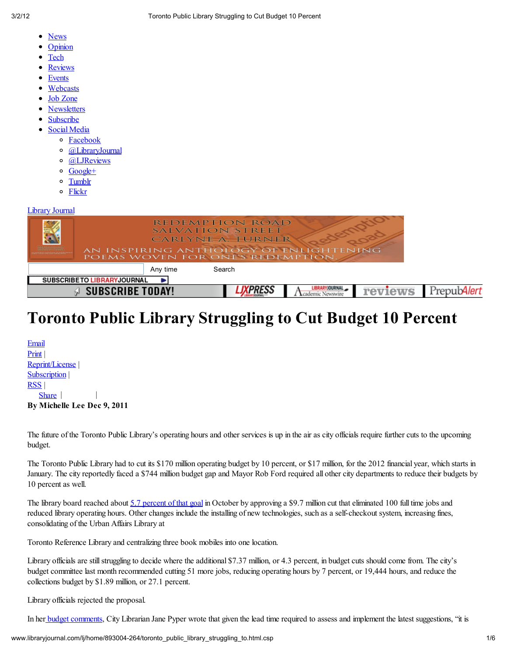- News
- **Opinion**
- **Tech**
- **Reviews**
- **Events**
- Webcasts
- Job Zone
- **Newsletters**
- **Subscribe**
- Social Media
	- Facebook
	- o @LibraryJournal
	- o @LJReviews
	- <sup>o</sup> Google+
	- Tumblr
	-
	- o Flickr

Library Journal



# Toronto Public Library Struggling to Cut Budget 10 Percent

| Email                       |
|-----------------------------|
| Print                       |
| Reprint/License             |
| <b>Subscription</b>         |
| RSS                         |
| Share                       |
| By Michelle Lee Dec 9, 2011 |

The future of the Toronto Public Library's operating hours and other services is up in the air as city officials require further cuts to the upcoming budget.

The Toronto Public Library had to cut its \$170 million operating budget by 10 percent, or \$17 million, for the 2012 financial year, which starts in January. The city reportedly faced a \$744 million budget gap and Mayor Rob Ford required all other city departments to reduce their budgets by 10 percent as well.

The library board reached about 5.7 percent of that goal in October by approving a \$9.7 million cut that eliminated 100 full time jobs and reduced library operating hours. Other changes include the installing of new technologies, such as a self-checkout system, increasing fines, consolidating of the Urban Affairs Library at

Toronto Reference Library and centralizing three book mobiles into one location.

Library officials are still struggling to decide where the additional \$7.37 million, or 4.3 percent, in budget cuts should come from. The city's budget committee last month recommended cutting 51 more jobs, reducing operating hours by 7 percent, or 19,444 hours, and reduce the collections budget by \$1.89 million, or 27.1 percent.

Library officials rejected the proposal.

In her **budget comments**, City Librarian Jane Pyper wrote that given the lead time required to assess and implement the latest suggestions, "it is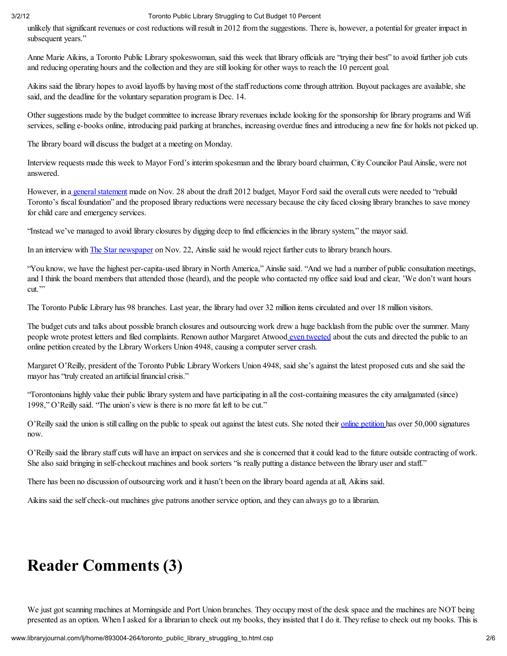### 3/2/12 Toronto Public Librar\ Struggling to Cut Budget 10 Percent

unlikely that significant revenues or cost reductions willresult in 2012 from the suggestions. There is, however, a potentialfor greater impact in subsequent years."

Anne Marie Aikins, a Toronto Public Library spokeswoman, said this week that library officials are "trying their best" to avoid further job cuts and reducing operating hours and the collection and they are still looking for other ways to reach the 10 percent goal.

Aikins said the library hopes to avoid layoffs by having most of the staff reductions come through attrition. Buyout packages are available, she said, and the deadline for the voluntary separation program is Dec. 14.

Other suggestions made by the budget committee to increase library revenues include looking for the sponsorship for library programs and Wifi services, selling e-books online, introducing paid parking at branches, increasing overdue fines and introducing a new fine for holds not picked up.

The library board will discuss the budget at a meeting on Monday.

Interview requests made this week to Mayor Ford's interim spokesman and the library board chairman, City Councilor Paul Ainslie, were not answered.

However, in a general statement made on Nov. 28 about the draft 2012 budget, Mayor Ford said the overall cuts were needed to "rebuild" Toronto's fiscal foundation" and the proposed library reductions were necessary because the city faced closing library branches to save money for child care and emergency services.

"Instead we've managed to avoid library closures by digging deep to find efficiencies in the library system," the mayor said.

In an interview with The Star newspaper on Nov. 22, Ainslie said he would reject further cuts to library branch hours.

"You know, we have the highest per-capita-used library in North America," Ainslie said. "And we had a number of public consultation meetings, and I think the board members that attended those (heard), and the people who contacted my office said loud and clear, 'We don't want hours cut."

The Toronto Public Library has 98 branches. Last year, the library had over 32 million items circulated and over 18 million visitors.

The budget cuts and talks about possible branch closures and outsourcing work drew a huge backlash from the public over the summer. Many people wrote protest letters and filed complaints. Renown author Margaret Atwood even tweeted about the cuts and directed the public to an online petition created by the Library Workers Union 4948, causing a computer server crash.

Margaret O'Reilly, president of the Toronto Public Library Workers Union 4948, said she's against the latest proposed cuts and she said the mayor has "truly created an artificial financial crisis."

"Torontonians highly value their public library system and have participating in all the cost-containing measures the city amalgamated (since) 1998," O'Reilly said. "The union's view is there is no more fat left to be cut."

O'Reilly said the union is still calling on the public to speak out against the latest cuts. She noted their online petition has over 50,000 signatures now.

O¶Reilly said the library staff cuts will have an impact on services and she is concerned that it could lead to the future outside contracting of work. She also said bringing in self-checkout machines and book sorters "is really putting a distance between the library user and staff."

There has been no discussion of outsourcing work and it hasn't been on the library board agenda at all, Aikins said.

Aikins said the self check-out machines give patrons another service option, and they can always go to a librarian.

# Reader Comments (3)

We just got scanning machines at Morningside and Port Union branches. They occupy most of the desk space and the machines are NOT being presented as an option. When I asked for a librarian to check out my books, they insisted that I do it. They refuse to check out my books. This is